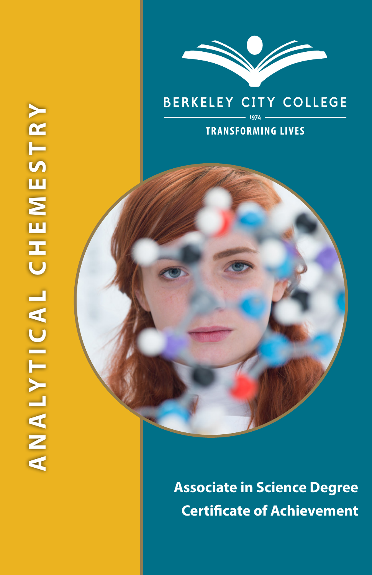



# **BERKELEY CITY COLLEGE**

#### **TRANSFORMING LIVES**

**Associate in Science Degree Certificate of Achievement**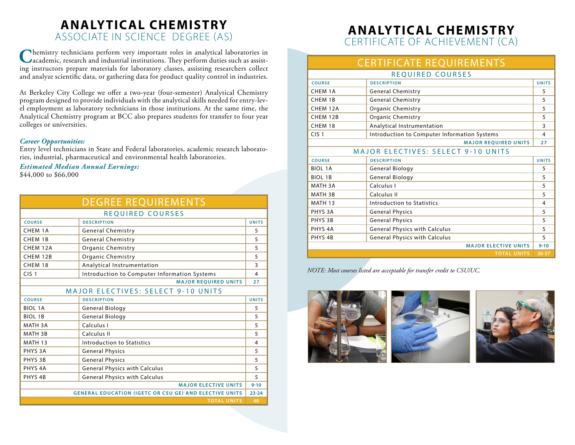# **ANALYTICAL CHEMISTRY** ASSOCIATE IN SCIENCE DEGREE (AS)

**C**hemistry technicians perform very important roles in analytical laboratories in academic, research and industrial institutions. They perform duties such as assisting instructors prepare materials for laboratory classes, assisting researchers collect and analyze scientific data, or gathering data for product quality control in industries.

At Berkeley City College we offer a two-year (four-semester) Analytical Chemistry program designed to provide individuals with the analytical skills needed for entry-level employment as laboratory technicians in those institutions. At the same time, the Analytical Chemistry program at BCC also prepares students for transfer to four year colleges or universities.

#### *Career Opportunities:*

Entry level technicians in State and Federal laboratories, academic research laboratories, industrial, pharmaceutical and environmental health laboratories.

#### *Estimated Median Annual Earnings:*

\$44,000 to \$66,000

|                                                               | <b>DEGREE REQUIREMENTS</b>                   |              |  |
|---------------------------------------------------------------|----------------------------------------------|--------------|--|
| REQUIRED COURSES                                              |                                              |              |  |
| <b>COURSE</b>                                                 | <b>DESCRIPTION</b>                           | <b>UNITS</b> |  |
| CHEM 1A                                                       | <b>General Chemistry</b>                     | 5            |  |
| CHEM 1B                                                       | <b>General Chemistry</b>                     | 5            |  |
| CHFM 12A                                                      | Organic Chemistry                            | 5            |  |
| CHEM 12B                                                      | <b>Organic Chemistry</b>                     | 5            |  |
| CHEM 18                                                       | Analytical Instrumentation                   | 3            |  |
| CIS <sub>1</sub>                                              | Introduction to Computer Information Systems | 4            |  |
|                                                               | <b>MAJOR REQUIRED UNITS</b>                  | 27           |  |
| <b>MAJOR ELECTIVES: SELECT 9-10 UNITS</b>                     |                                              |              |  |
| <b>COURSE</b>                                                 | <b>DESCRIPTION</b>                           | <b>UNITS</b> |  |
| <b>BIOL 1A</b>                                                | General Biology                              | 5            |  |
| <b>BIOL 1B</b>                                                | General Biology                              | 5            |  |
| MATH 3A                                                       | Calculus I                                   | 5            |  |
| MATH 3B                                                       | Calculus II                                  | 5            |  |
| MATH 13                                                       | Introduction to Statistics                   | 4            |  |
| PHYS <sub>3</sub> A                                           | <b>General Physics</b>                       | 5            |  |
| PHYS <sub>3B</sub>                                            | <b>General Physics</b>                       | 5            |  |
| PHYS <sub>4</sub> A                                           | <b>General Physics with Calculus</b>         | 5            |  |
| PHYS <sub>4B</sub>                                            | <b>General Physics with Calculus</b>         | 5            |  |
| <b>MAJOR ELECTIVE UNITS</b>                                   |                                              |              |  |
| <b>GENERAL EDUCATION (IGETC OR CSU GE) AND ELECTIVE UNITS</b> |                                              |              |  |
|                                                               | <b>TOTAL UNITS</b>                           | 60           |  |

## **ANALYTICAL CHEMISTRY** CERTIFICATE OF ACHIEVEMENT (CA)

# CERTIFICATE REQUIREMENTS

| <b>REQUIRED COURSES</b>                   |                                              |              |
|-------------------------------------------|----------------------------------------------|--------------|
| <b>COURSE</b>                             | <b>DESCRIPTION</b>                           | <b>UNITS</b> |
| CHEM 1A                                   | <b>General Chemistry</b>                     | 5            |
| CHEM 1B                                   | <b>General Chemistry</b>                     | 5            |
| CHEM 12A                                  | <b>Organic Chemistry</b>                     | 5            |
| CHEM 12B                                  | Organic Chemistry                            | 5            |
| CHEM 18                                   | Analytical Instrumentation                   | 3            |
| CIS <sub>1</sub>                          | Introduction to Computer Information Systems | 4            |
|                                           | <b>MAJOR REOUIRED UNITS</b>                  | 27           |
| <b>MAJOR ELECTIVES: SELECT 9-10 UNITS</b> |                                              |              |
| <b>COURSE</b>                             | <b>DESCRIPTION</b>                           | <b>UNITS</b> |
| <b>BIOL 1A</b>                            | General Biology                              | 5            |
| <b>BIOL 1B</b>                            | General Biology                              | 5            |
| MATH 3A                                   | Calculus I                                   | 5            |
| MATH 3B                                   | Calculus II                                  | 5            |
| <b>MATH 13</b>                            | Introduction to Statistics                   | 4            |
| PHYS <sub>3</sub> A                       | <b>General Physics</b>                       | 5            |
| PHYS 3B                                   | <b>General Physics</b>                       | 5            |
| PHYS <sub>4</sub> A                       | <b>General Physics with Calculus</b>         | 5            |
| PHYS <sub>4B</sub>                        | <b>General Physics with Calculus</b>         | 5            |
|                                           | <b>MAJOR ELECTIVE UNITS</b>                  | $9 - 10$     |
|                                           | <b>TOTAL UNITS</b>                           | $36 - 37$    |

*NOTE: Most courses listed are acceptable for transfer credit to CSU/UC.*